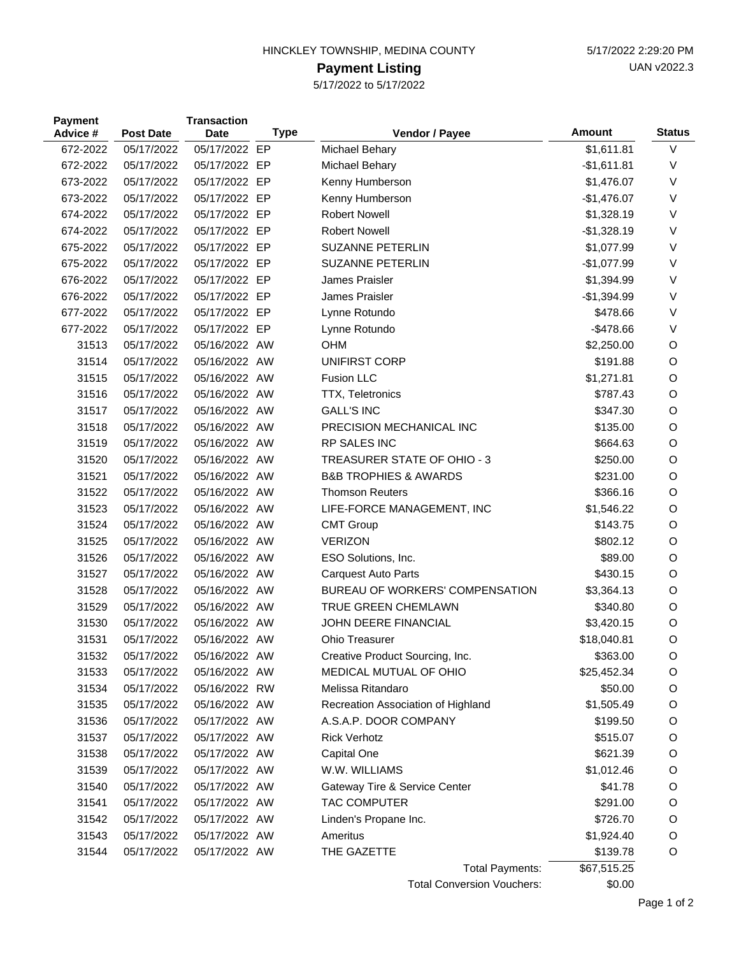## HINCKLEY TOWNSHIP, MEDINA COUNTY 6/17/2022 2:29:20 PM

## **Payment Listing**

5/17/2022 to 5/17/2022

| <b>Payment</b><br>Advice # | <b>Post Date</b> | <b>Transaction</b><br><b>Date</b> | <b>Type</b> | Vendor / Payee                       | Amount       | <b>Status</b> |
|----------------------------|------------------|-----------------------------------|-------------|--------------------------------------|--------------|---------------|
| 672-2022                   | 05/17/2022       | 05/17/2022 EP                     |             | Michael Behary                       | \$1,611.81   | $\vee$        |
| 672-2022                   | 05/17/2022       | 05/17/2022 EP                     |             | Michael Behary                       | $-$1,611.81$ | $\vee$        |
| 673-2022                   | 05/17/2022       | 05/17/2022 EP                     |             | Kenny Humberson                      | \$1,476.07   | $\vee$        |
| 673-2022                   | 05/17/2022       | 05/17/2022 EP                     |             | Kenny Humberson                      | $-$1,476.07$ | $\vee$        |
| 674-2022                   | 05/17/2022       | 05/17/2022 EP                     |             | <b>Robert Nowell</b>                 | \$1,328.19   | $\vee$        |
| 674-2022                   | 05/17/2022       | 05/17/2022 EP                     |             | <b>Robert Nowell</b>                 | $-$1,328.19$ | $\vee$        |
| 675-2022                   | 05/17/2022       | 05/17/2022 EP                     |             | <b>SUZANNE PETERLIN</b>              | \$1,077.99   | $\vee$        |
| 675-2022                   | 05/17/2022       | 05/17/2022 EP                     |             | <b>SUZANNE PETERLIN</b>              | $-$1,077.99$ | $\vee$        |
| 676-2022                   | 05/17/2022       | 05/17/2022 EP                     |             | James Praisler                       | \$1,394.99   | $\vee$        |
| 676-2022                   | 05/17/2022       | 05/17/2022 EP                     |             | James Praisler                       | $-$1,394.99$ | $\vee$        |
| 677-2022                   | 05/17/2022       | 05/17/2022 EP                     |             | Lynne Rotundo                        | \$478.66     | $\vee$        |
| 677-2022                   | 05/17/2022       | 05/17/2022 EP                     |             | Lynne Rotundo                        | $-$478.66$   | $\vee$        |
| 31513                      | 05/17/2022       | 05/16/2022 AW                     |             | <b>OHM</b>                           | \$2,250.00   | O             |
| 31514                      | 05/17/2022       | 05/16/2022 AW                     |             | <b>UNIFIRST CORP</b>                 | \$191.88     | O             |
| 31515                      | 05/17/2022       | 05/16/2022 AW                     |             | <b>Fusion LLC</b>                    | \$1,271.81   | O             |
| 31516                      | 05/17/2022       | 05/16/2022 AW                     |             | TTX, Teletronics                     | \$787.43     | O             |
| 31517                      | 05/17/2022       | 05/16/2022 AW                     |             | <b>GALL'S INC</b>                    | \$347.30     | O             |
| 31518                      | 05/17/2022       | 05/16/2022 AW                     |             | PRECISION MECHANICAL INC             | \$135.00     | O             |
| 31519                      | 05/17/2022       | 05/16/2022 AW                     |             | RP SALES INC                         | \$664.63     | O             |
| 31520                      | 05/17/2022       | 05/16/2022 AW                     |             | TREASURER STATE OF OHIO - 3          | \$250.00     | O             |
| 31521                      | 05/17/2022       | 05/16/2022 AW                     |             | <b>B&amp;B TROPHIES &amp; AWARDS</b> | \$231.00     | O             |
| 31522                      | 05/17/2022       | 05/16/2022 AW                     |             | <b>Thomson Reuters</b>               | \$366.16     | O             |
| 31523                      | 05/17/2022       | 05/16/2022 AW                     |             | LIFE-FORCE MANAGEMENT, INC           | \$1,546.22   | O             |
| 31524                      | 05/17/2022       | 05/16/2022 AW                     |             | <b>CMT Group</b>                     | \$143.75     | O             |
| 31525                      | 05/17/2022       | 05/16/2022 AW                     |             | <b>VERIZON</b>                       | \$802.12     | O             |
| 31526                      | 05/17/2022       | 05/16/2022 AW                     |             | ESO Solutions, Inc.                  | \$89.00      | O             |
| 31527                      | 05/17/2022       | 05/16/2022 AW                     |             | <b>Carquest Auto Parts</b>           | \$430.15     | O             |
| 31528                      | 05/17/2022       | 05/16/2022 AW                     |             | BUREAU OF WORKERS' COMPENSATION      | \$3,364.13   | O             |
| 31529                      | 05/17/2022       | 05/16/2022 AW                     |             | TRUE GREEN CHEMLAWN                  | \$340.80     | O             |
| 31530                      | 05/17/2022       | 05/16/2022 AW                     |             | JOHN DEERE FINANCIAL                 | \$3,420.15   | O             |
| 31531                      | 05/17/2022       | 05/16/2022 AW                     |             | <b>Ohio Treasurer</b>                | \$18,040.81  | O             |
| 31532                      | 05/17/2022       | 05/16/2022 AW                     |             | Creative Product Sourcing, Inc.      | \$363.00     | O             |
| 31533                      | 05/17/2022       | 05/16/2022 AW                     |             | MEDICAL MUTUAL OF OHIO               | \$25,452.34  | O             |
| 31534                      | 05/17/2022       | 05/16/2022 RW                     |             | Melissa Ritandaro                    | \$50.00      | $\circ$       |
| 31535                      | 05/17/2022       | 05/16/2022 AW                     |             | Recreation Association of Highland   | \$1,505.49   | O             |
| 31536                      | 05/17/2022       | 05/17/2022 AW                     |             | A.S.A.P. DOOR COMPANY                | \$199.50     | O             |
| 31537                      | 05/17/2022       | 05/17/2022 AW                     |             | <b>Rick Verhotz</b>                  | \$515.07     | O             |
| 31538                      | 05/17/2022       | 05/17/2022 AW                     |             | Capital One                          | \$621.39     | O             |
| 31539                      | 05/17/2022       | 05/17/2022 AW                     |             | W.W. WILLIAMS                        | \$1,012.46   | O             |
| 31540                      | 05/17/2022       | 05/17/2022 AW                     |             | Gateway Tire & Service Center        | \$41.78      | O             |
| 31541                      | 05/17/2022       | 05/17/2022 AW                     |             | TAC COMPUTER                         | \$291.00     | O             |
| 31542                      | 05/17/2022       | 05/17/2022 AW                     |             | Linden's Propane Inc.                | \$726.70     | $\circ$       |
| 31543                      | 05/17/2022       | 05/17/2022 AW                     |             | Ameritus                             | \$1,924.40   | O             |
| 31544                      | 05/17/2022       | 05/17/2022 AW                     |             | THE GAZETTE                          | \$139.78     | O             |
|                            |                  |                                   |             | Total Payments:                      | \$67,515.25  |               |

Total Conversion Vouchers: \$0.00